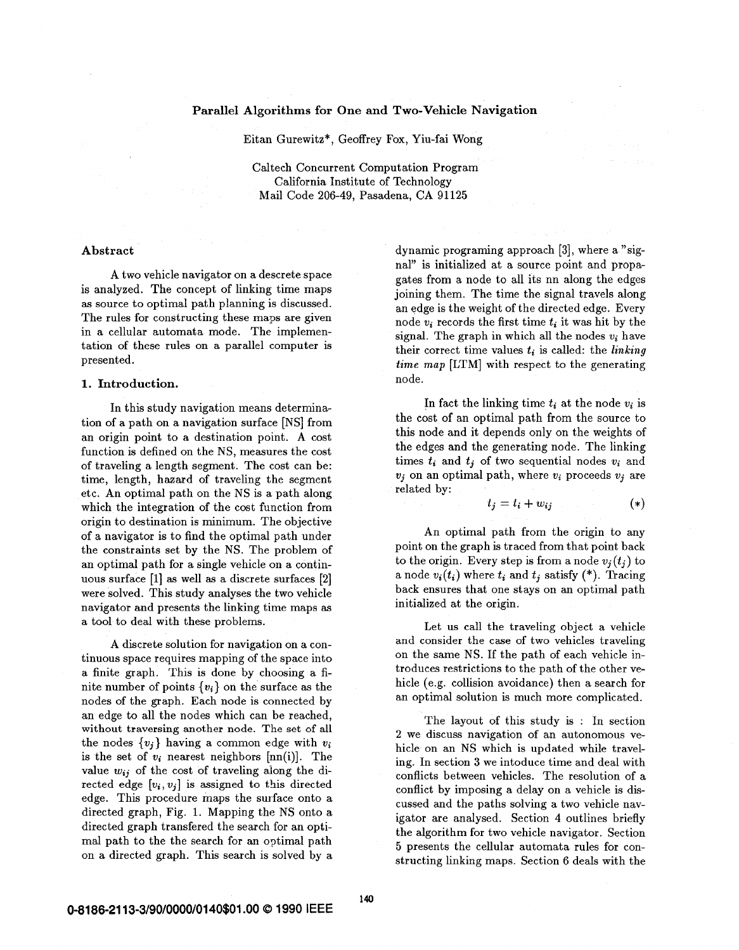#### Parallel Algorithms **for** One and Two-Vehicle Navigation

Eitan Gurewitz\*, Geoffrey Fox, Yiu-fai Wong

Caltech Concurrent Computation Program California Institute of Technology Mail Code **206-49,** Pasadena, CA **91125** 

#### Abstract

A two vehicle navigator on a descrete space is analyzed. The concept of linking time maps **as** source to optimal path planning is discussed. The rules for constructing these maps are given in a cellular automata mode. The implementation of these rules on a parallel computer is presented.

### 1. Introduction.

In this study navigation means determination of a path on a navigation surface [NS] from an origin point to a destination point. **A** cost function is defined on the NS, measures the cost of traveling a length segment. The cost can be: time, length, hazard of traveling the segment etc. An optimal path on the NS is a path along which the integration of the cost function from origin to destination is minimum. The objective of a navigator **is** to find the optimal path under the constraints set by the NS. The problem of an optimal path for a single vehicle on a continuous surface **[l] as** well **as** a discrete surfaces **[a]**  were solved. This study analyses the two vehicle navigator and presents the linking time maps **as**  a tool to deal with these problems.

**A** discrete solution for navigation on a continuous space requires mapping of the space into a finite graph. This is done by choosing a finite number of points  $\{v_i\}$  on the surface as the nodes of the graph. Each node is connected by an edge to all the nodes which can be reached, **without traversing another node. The set of all**  the nodes  $\{v_i\}$  having a common edge with  $v_i$ is the set of *wi* nearest neighbors [nn(i)]. The value **wij** of the cost of traveling aiong the directed edge  $[v_i, v_j]$  is assigned to this directed edge. This procedure maps the surface onto a directed graph, Fig. **1.** Mapping the NS onto a directed graph transfered the search for an optimal path to the the search for an optimal path on a directed graph. This search is solved by a dynamic programing approach **[3],** where a "signal" is initialized at a source point and propagates from a node to all its nn along the edges joining them. The time the signal travels along an edge is the weight of the directed edge. Every node  $v_i$  records the first time  $t_i$  it was hit by the signal. The graph in which all the nodes *wi* have their correct time values  $t_i$  is called: the *linking time map* [LTM] with respect to the generating node.

In fact the linking time  $t_i$  at the node  $v_i$  is the cost of an optimal path from the source to this node and it depends only on the weights of the edges and the generating node. The linking times  $t_i$  and  $t_j$  of two sequential nodes  $v_i$  and  $v_i$  on an optimal path, where  $v_i$  proceeds  $v_j$  are related by:

$$
t_j = t_i + w_{ij} \tag{*}
$$

An optimal path from the origin to any point on the graph is traced from that point back to the origin. Every step is from a node  $v_i(t_i)$  to a node  $v_i(t_i)$  where  $t_i$  and  $t_j$  satisfy (\*). Tracing back ensures that one stays on an optimal path initialized at the origin.

Let us call the traveling object a vehicle and consider the case of two vehicles traveling on the same NS. If the path of each vehicle introduces restrictions to the path of the other vehicle (e.g. collision avoidance) then a search for an optimal solution is much more complicated.

The layout of this study is : In section 2 we discuss navigation of an autonomous vehicle on an NS which is updated while traveling. In section **3** we intoduce time and deal with conflicts between vehicles. The resolution of a conflict by imposing a delay on a vehicle is discussed and the paths solving a two vehicle navigator are analysed. Section **4** outlines briefly the algorithm for two vehicle navigator. Section 5 presents the cellular automata rules for constructing linking maps. Section **6** deals with the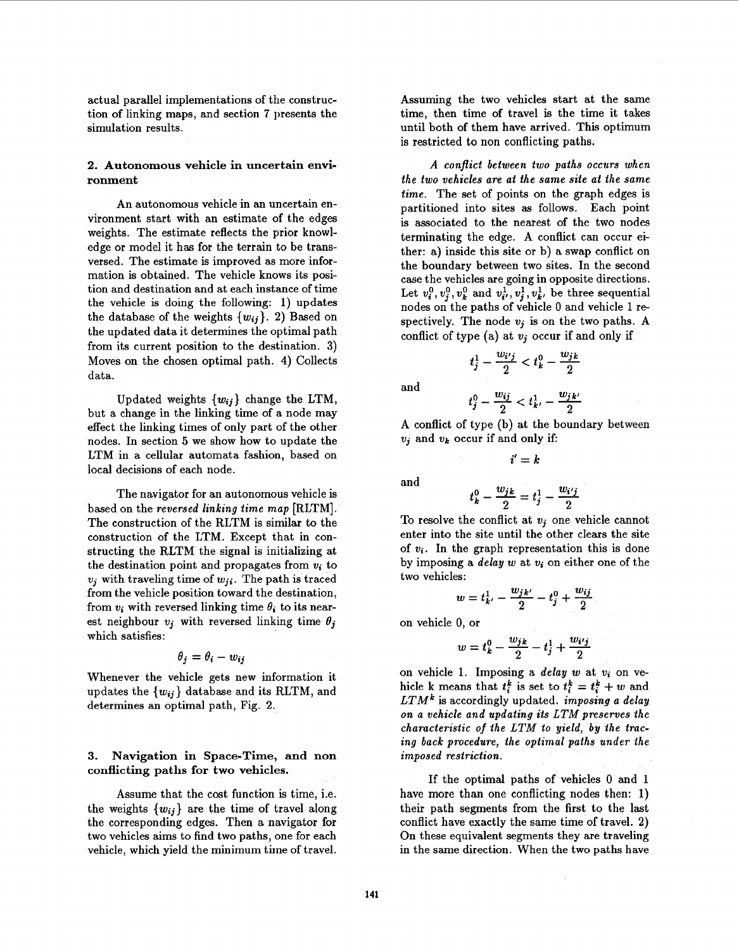actual parallel implementations of the construction of linking maps, and section 7 presents the simulation results.

# **2. Autonomous vehicle in uncertain environment**

An autonomous vehicle in an uncertain environment start with an estimate of the edges weights. The estimate reflects the prior knowledge or model it has for the terrain to be transversed. The estimate is improved as more information is obtained. The vehicle knows its position and destination and at each instance of time the vehicle is doing the following: **1)** updates the database of the weights  $\{w_{ij}\}\$ . 2) Based on the updated data it determines the optimal path from its current position to the destination. **3)**  Moves on the chosen optimal path. **4)** Collects data.

Updated weights *{wij}* change the LTM, but a change in the linking time of a node may effect the linking times of only part of the other nodes. In section *5* we show how to update the LTM in a cellular automata fashion, based on local decisions of each node.

The navigator for an autonomous vehicle is based on the *reversed linking time map* [RLTM]. The construction of the RLTM is similar to the construction of the LTM. Except that in constructing the RLTM the signal is initializing at the destination point and propagates from *vi* to  $v_i$  with traveling time of  $w_{ii}$ . The path is traced from the vehicle position toward the destination, from  $v_i$  with reversed linking time  $\theta_i$  to its nearest neighbour  $v_j$  with reversed linking time  $\theta_i$ which satisfies:

$$
\theta_j = \theta_i - w_{ij}
$$

Whenever the vehicle gets new information it updates the *{wij}* database and its RLTM, and determines an optimal path, Fig. 2.

# **3. Navigation in Space-Time, and non conflicting paths for two vehicles.**

Assume that the cost function is time, i.e. the weights  $\{w_{ij}\}\$  are the time of travel along the corresponding edges. Then a navigator for two vehicles aims to find two paths, one for each vehicle, which yield the minimum time of travel.

Assuming the two vehicles start at the same time, then time of travel is the time it takes until both of them have arrived. This optimum is restricted to non conflicting paths.

*A conflict between two paths occurs when the two vehicles are at the same site at the same time.* The set of points on the graph edges is partitioned into sites **as** follows. Each point is associated to the nearest of the two nodes terminating the edge. A conflict can occur either: a) inside this site or b) a swap conflict on the boundary between two sites. In the second case the vehicles are going in opposite directions. Let  $v_i^0$ ,  $v_i^0$ ,  $v_k^0$  and  $v_i^1$ ,  $v_i^1$ ,  $v_k^1$ , be three sequential nodes on the paths of vehicle 0 and vehicle 1 respectively. The node  $v_i$  is on the two paths. A conflict of type (a) at  $v_i$  occur if and only if

and

$$
t_j^0 - \frac{w_{ij}}{2} < t_{k'}^1 - \frac{w_{jk'}}{2}
$$

 $t_j^1 - \frac{w_{i'j}}{2} < t_k^0 - \frac{w_{jk}}{2}$ 

A conflict of type (b) at the boundary between *vj* and *vk* occur if and only if:

 $i' = k$ 

and

$$
t_k^0-\frac{w_{jk}}{2}=t_j^1-
$$

To resolve the conflict at *vi* one vehicle cannot enter into the site until the other clears the site of  $v_i$ . In the graph representation this is done by imposing a *delay w* at *vi* on either one of the two vehicles:

 $\overline{2}$ 

$$
w = t_{k'}^{1} - \frac{w_{jk'}}{2} - t_{j}^{0} + \frac{w_{ij}}{2}.
$$

on vehicle 0, or

$$
w = t_k^0 - \frac{w_{jk}}{2} - t_j^1 + \frac{w_{i'j}}{2}
$$

on vehicle 1. Imposing a *delay w* at *vi* on vehicle k means that  $t_i^k$  is set to  $t_i^k = t_i^k + w$  and *LTMk* is accordingly updated. *imposing a delay on a vehicle and updating its LTM preserves the characteristic of the LTM to yield, by the tracing back procedure, the optimal paths under the imposed restriction.* 

If the optimal paths of vehicles 0 and **1**  have more than one conflicting nodes then: **1)**  their path segments from the first to the last conflict have exactly the same time of travel. 2) **On** these equivalent segments they are traveling in the same direction. When the two paths have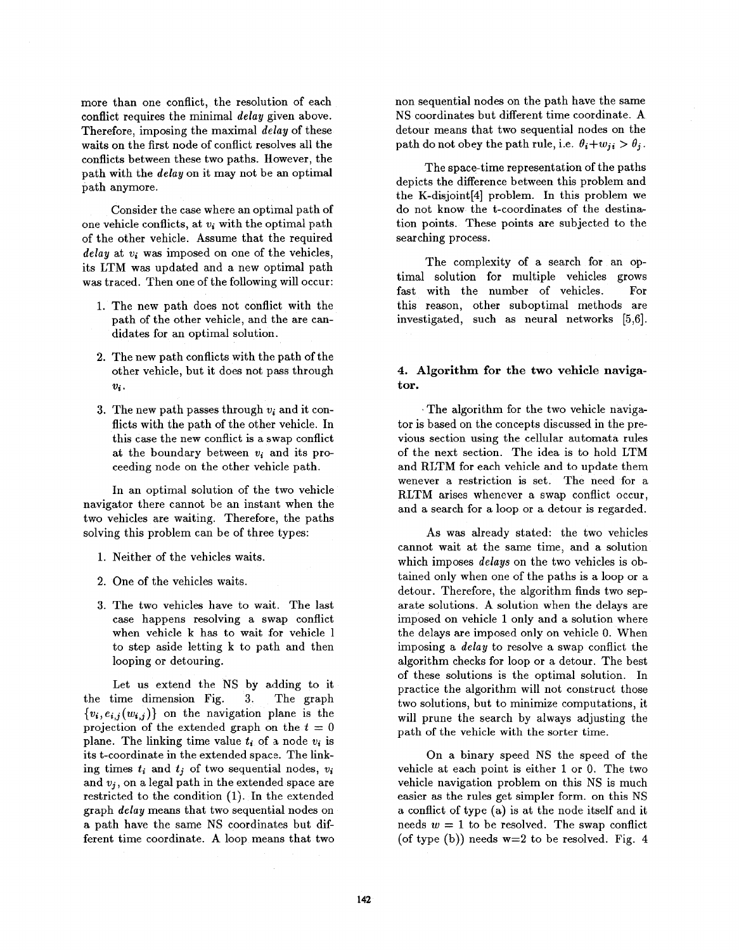more than one conflict, the resolution of each conflict requires the minimal *delay* given above. Therefore, imposing the maximal *delay* of these waits on the first node of conflict resolves all the conflicts between these two paths. However, the path with the *delay* on it may not be an optimal path anymore.

Consider the case where an optimal path of one vehicle conflicts, at  $v_i$  with the optimal path of the other vehicle. Assume that the required delay at  $v_i$  was imposed on one of the vehicles, its LTM was updated and a new optimal path was traced. Then one of the following will occur:

- 1. The new path does not conflict with the path of the other vehicle, and the are candidates for **an** optimal solution.
- 2. The new path conflicts with the path of the other vehicle, but it does not pass through  $v_i$ .
- 3. The new path passes through  $v_i$  and it conflicts with the path of the other vehicle. In this case the new conflict is a swap conflict at the boundary between  $v_i$  and its proceeding node on the other vehicle path.

In an optimal solution of the two vehicle navigator there cannot be an instant when the two vehicles are waiting. Therefore, the paths solving this problem can be of three types:

- 1. Neither of the vehicles waits.
- 2. One of the vehicles waits.
- **3.**  The two vehicles have to wait. The last case happens resolving **a** swap conflict when vehicle k has to wait for vehicle 1 to step aside letting k to path and then looping or detouring.

Let us extend the NS by adding to it the time dimension [Fig.](#page-6-0) **3.** The graph  ${v_i,e_{i,j}(w_{i,j})}$  on the navigation plane is the projection of the extended graph on the  $t = 0$ plane. The linking time value *ti* of a node *wi* is its t-coordinate in the extended space. The linking times  $t_i$  and  $t_j$  of two sequential nodes,  $v_i$ and  $v_i$ , on a legal path in the extended space are restricted to the condition (1). In the extended graph *delay* means that two sequential nodes on a path have the same NS coordinates but different time coordinate. **A** loop means that two non sequential nodes on the path have the same NS coordinates but different time coordinate. A detour means that two sequential nodes on the path do not obey the path rule, i.e.  $\theta_i + w_{ii} > \theta_i$ .

The space-time representation of the paths depicts the difference between this problem and the K-disjoint<sup>[4]</sup> problem. In this problem we do not know the t-coordinates of the destination points. These points are subjected to the searching process.

The complexity of a search for an optimal solution for multiple vehicles grows fast with the number of vehicles. For this reason, other suboptimal methods are investigated, such **as** neural networks [5,6].

### **4. Algorithm for the two vehicle navigator.**

~ The algorithm for the two vehicle navigator is based on the concepts discussed in the previous section using the cellular automata rules of the next section. The idea is to hold LTM and RLTM for each vehicle and to update them wenever a restriction is set. The need for a RLTM arises whenever a swap conflict occur, and a search for a loop or a detour is regarded.

As was already stated: the two vehicles cannot wait at the same time, and a solution which imposes *delays* on the two vehicles is obtained only when one of the paths is a loop or a detour. Therefore, the algorithm finds two separate solutions. **A** solution when the delays are imposed on vehicle 1 only and a solution where the delays are imposed only on vehicle 0. When imposing a *delay* to resolve a swap conflict the algorithm checks for loop or a detour. The best of these solutions is the optimal solution. In practice the algorithm will not construct those two solutions, but to minimize computations, it will prune the search by always adjusting the path of the vehicle with the sorter time.

On a binary speed NS the speed of the vehicle at each point is either 1 or 0. The two vehicle navigation problem on this NS is much easier **as** the rules get simpler form. on this NS a conflict of type (a) is at the node itself and it needs  $w = 1$  to be resolved. The swap conflict (of type (b)) needs w=2 to be resolved. Fig. **4**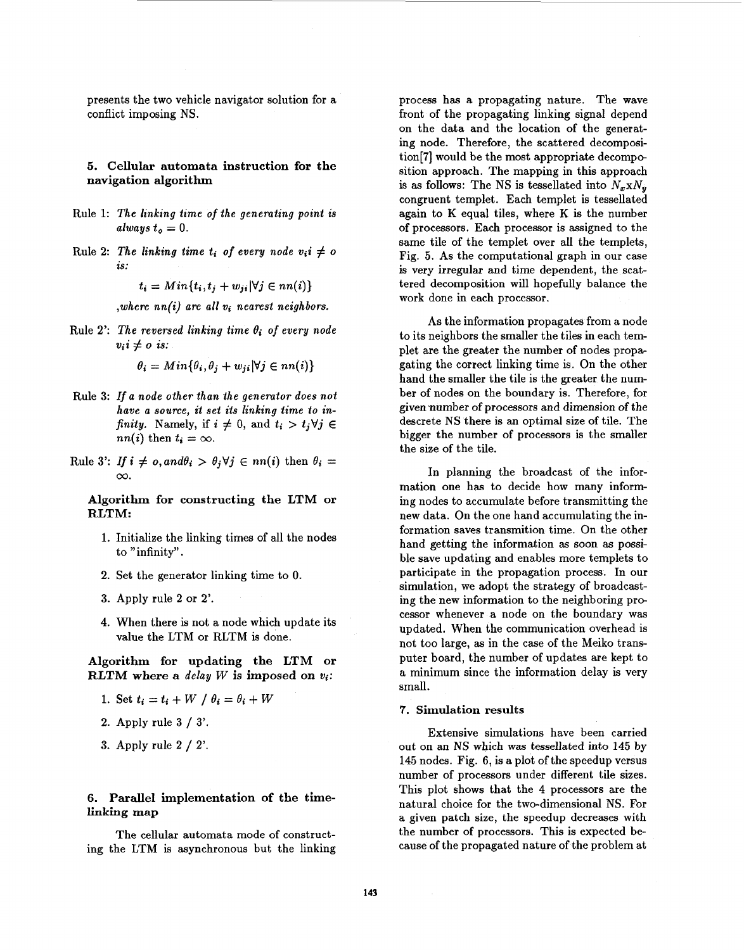presents the two vehicle navigator solution for a conflict imposing NS.

### **5. Cellular automata instruction for the navigation algorithm**

- Rule 1: The linking time of the generating point is  $always t_0 = 0.$
- Rule 2: The linking time  $t_i$  of every node  $v_i$   $\neq$   $o$ *is:*

 $t_i = Min\{t_i, t_j + w_{ji} | \forall j \in nn(i)\}$ 

*,where nn(a) are all* vi *nearest neighbors.* 

Rule 2: The reversed linking time  $\theta_i$  of every node  $v_i$ *i*  $\neq$  *o is:* 

 $\theta_i = Min{\theta_i, \theta_i + w_{ii}|\forall j \in nn(i)}$ 

- Rule *3:* If *a node other than the generator does not*  have a source, it set its linking time to in*finity.* Namely, if  $i \neq 0$ , and  $t_i > t_j \forall j \in$ *nn(i)* then  $t_i = \infty$ .
- Rule 3': *If*  $i \neq o$ , and  $\theta_i > \theta_j \forall j \in nn(i)$  then  $\theta_i =$ *CO.*

**Algorithm for constructing the LTM or RLTM:** 

- **1.** Initialize the linking times of all the nodes to "infinity".
- 2. Set the generator linking time to 0.
- **3.** Apply rule **2** or 2'.
- **4.** When there is not a node which update its value the LTM or RLTM is done.

**Algorithm for updating the LTM or RLTM where a** *delay W* **is imposed on** *vi:* 

- 1. Set  $t_i = t_i + W / \theta_i = \theta_i + W$
- 2. Apply rule **3** / **3'.**
- **3.** Apply rule 2 / 2'.

### **6. Parallel implementation of the timelinking map**

The cellular automata mode of constructing the LTM is asynchronous but the linking process has a propagating nature. The wave front of the propagating linking signal depend on the data and the location of the generating node. Therefore, the scattered decomposition[7] would be the most appropriate decomposition approach. The mapping in this approach is as follows: The NS is tessellated into  $N_x \times N_y$ congruent templet. Each templet is tessellated again to **K** equal tiles, where **K** is the number of processors. Each processor is assigned to the same tile of the templet over all the templets, Fig. **5.** As the computational graph in our case is very irregular and time dependent, the scattered decomposition will hopefully balance the work done in each processor.

**As** the information propagates from a node to its neighbors the smaller the tiles in each templet are the greater the number of nodes propagating the correct linking time is. On the other hand the smaller the tile is the greater the number of nodes on the boundary is. Therefore, for given number of processors and dimension of the descrete NS there is an optimal size of tile. The bigger the number of processors is the smaller the size of the tile.

In planning the broadcast of the information one has to decide how many informing nodes to accumulate before transmitting the new data. On the one hand accumulating the information saves transmition time. On the other hand getting the information **as** soon **as** possible save updating and enables more templets to participate in the propagation process. In our simulation, we adopt the strategy of broadcasting the new information to the neighboring processor whenever a node on the boundary was updated. When the communication overhead is not too large, **as** in the case of the Meiko transputer board, the number of updates are kept to a minimum since the information delay is very small.

#### **7. Simulation results**

Extensive simulations have been carried out on an **NS** which was tessellated into **145** by **145** nodes. Fig. **6, is** a plot of the speedup versus number of processors under different tile sizes. This plot shows that the **4** processors are the natural choice for the two-dimensional **NS.** For a given patch size, the speedup decreases with the number of processors. This is expected because of the propagated nature of the problem at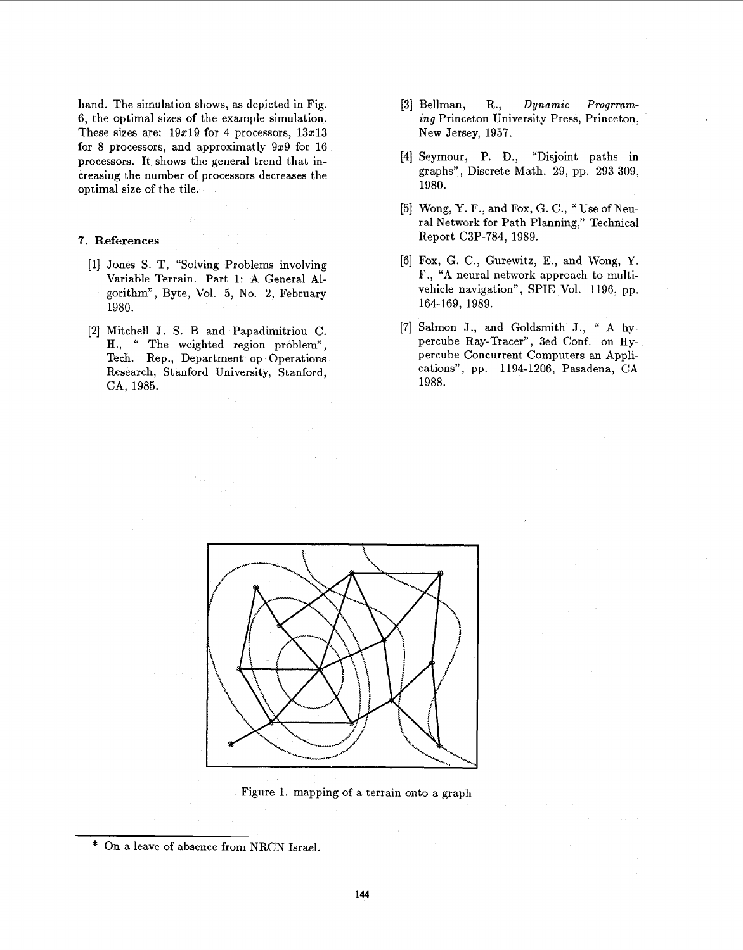hand. The simulation shows, **as** depicted in Fig. 6, the optimal sizes of the example simulation. These sizes are:  $19x19$  for 4 processors,  $13x13$ for 8 processors, and approximatly 9x9 for 16 processors. It shows the general trend that increasing the number of processors decreases the optimal size of the tile.

## **7. References**

- [l] Jones S. T, "Solving Problems involving Variable Terrain. Part 1: **A** General Algorithm", Byte, Vol. 5, No. 2, February 1980.
- **[2]** Mitchell J. S. B and Papadimitriou C. H., " The weighted region problem", Tech. Rep., Department op Operations Research, Stanford University, Stanford, CA, 1985.
- [3] Bellman, R., *Dynamic Progrruming* Princeton University Press, Princeton, New Jersey, 1957.
- [4] Seymour, P. D., "Disjoint paths in graphs", Discrete Math. 29, pp. 293-309, 1980.
- [5] Wong, Y. F., and Fox, G. C., " Use of Neural Network for Path Planning,'' Technical Report C3P-784, 1989.
- [6] Fox, G. C., Gurewitz, **E.,** and Wong, Y. F., **"A** neural network approach to multivehicle navigation", SPIE Vol. 1196, pp. 164-169, 1989.
- [7] Salmon J., and Goldsmith **J.,** " **A** hypercube Ray-Tracer", 3ed Conf. on Hypercube Concurrent Computers an Applications", pp. 1194-1206, Pasadena, CA 1988.



Figure 1. mapping of **a** terrain onto a graph

<sup>\*</sup> On a leave of absence from NRCN Israel.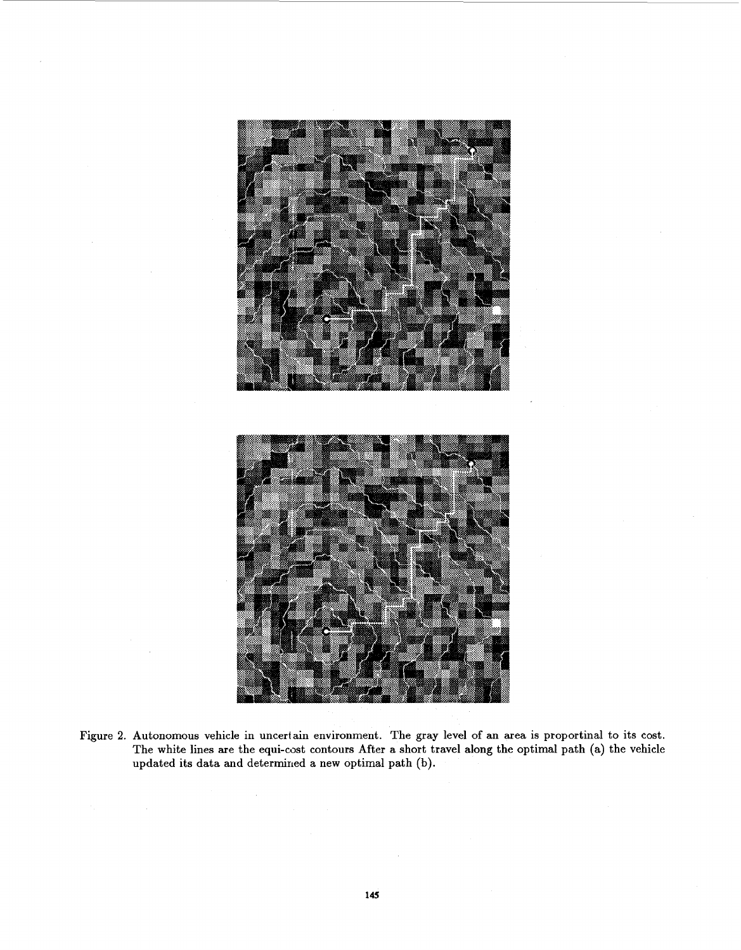

Figure **2.** Autonomous vehicle in uncertain environment. The gray level of an area is proportinal to its cost. The white lines are the equi-cost contours After a short travel along the optimal path (a) the vehicle updated its data and determined a new optimal path (b).

 $\bar{\mathcal{A}}$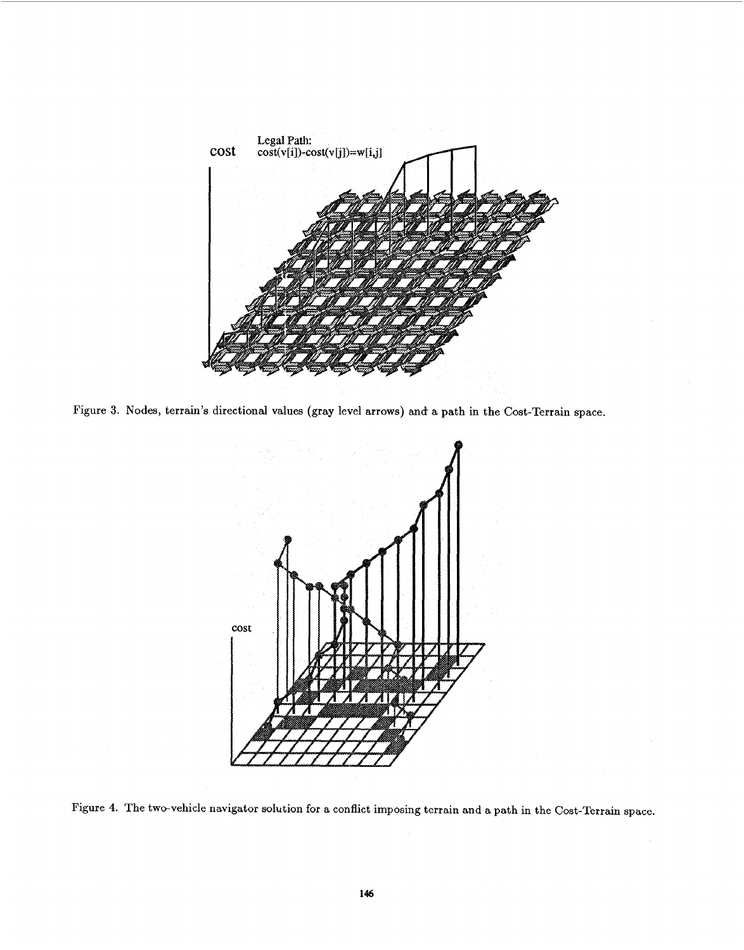<span id="page-6-0"></span>

Figure **3.** Nodes, terrain's directional values (gray level arrows) and a path in the Cost-Terrain space.